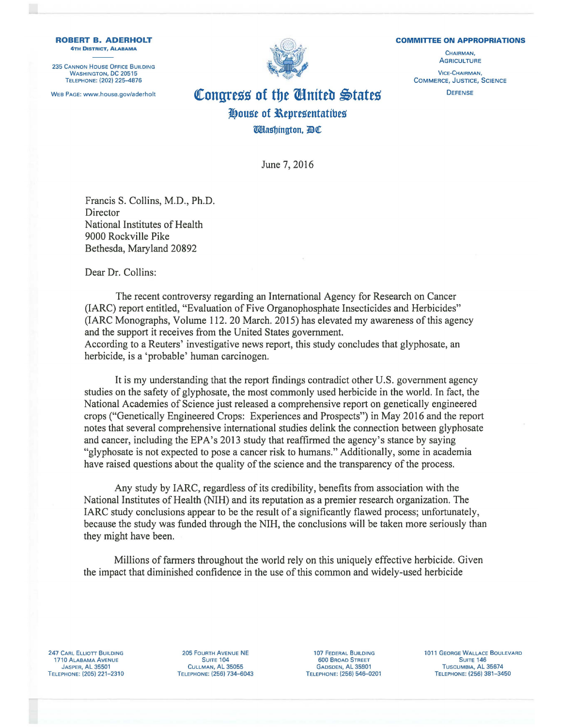**COMMITTEE ON APPROPRIATIONS** 

CHAIRMAN, **AGRICULTURE** VICE-CHAIRMAN, COMMERCE, JUSTICE, SCIENCE **DEFENSE** 

## WEB PAGE: www.house.gov/aderholt **Congress of the United States** *l!}ougt* **of l\tpregentatibtg Washington, BC**

June 7, 2016

Francis S. Collins, M.D., Ph.D. **Director** National Institutes of Health 9000 Rockville Pike Bethesda, Maryland 20892

Dear Dr. Collins:

The recent controversy regarding an International Agency for Research on Cancer (IARC) report entitled, "Evaluation of Five Organophosphate Insecticides and Herbicides" (IARC Monographs, Volume 112. 20 March. 2015) has elevated my awareness of this agency and the support it receives from the United States government. According to a Reuters' investigative news report, this study concludes that glyphosate, an herbicide, is a 'probable' human carcinogen.

It is my understanding that the report findings contradict other U.S. government agency studies on the safety of glyphosate, the most commonly used herbicide in the world. In fact, the National Academies of Science just released a comprehensive report on genetically engineered crops ("Genetically Engineered Crops: Experiences and Prospects") in May 2016 and the report notes that several comprehensive international studies delink the connection between glyphosate and cancer, including the EPA's 2013 study that reaffirmed the agency's stance by saying "glyphosate is not expected to pose a cancer risk to humans." Additionally, some in academia have raised questions about the quality of the science and the transparency of the process.

Any study by IARC, regardless of its credibility, benefits from association with the National Institutes of Health (NIH) and its reputation as a premier research organization. The IARC study conclusions appear to be the result of a significantly flawed process; unfortunately, because the study was funded through the NIH, the conclusions will be taken more seriously than they might have been.

Millions of farmers throughout the world rely on this uniquely effective herbicide. Given the impact that diminished confidence in the use of this common and widely-used herbicide

247 CARL ELLIOTT BUILDING 1710 ALABAMA AVENUE JASPER, AL 35501 TELEPHONE: (205) 221-2310

205 FOURTH AVENUE NE SUITE<sub>104</sub> CULLMAN, Al 35055 TELEPHONE: (256) 734-6043

107 FEDERAL BUILDING 600 BROAD STREET GADSDEN, Al 35901 TELEPHONE: (256) 546-0201 1011 GEORGE WALLACE BOULEVARD SUITE<sub>146</sub> TUSCUMBIA, Al 35674 TELEPHONE: (256) 381-3450



**ROBERT B. ADERHOLT**  4TH DISTRICT, ALABAMA

235 CANNON HOUSE OFFICE BUILDING WASHINGTON, DC 20515 TELEPHONE: (202) 225-4876